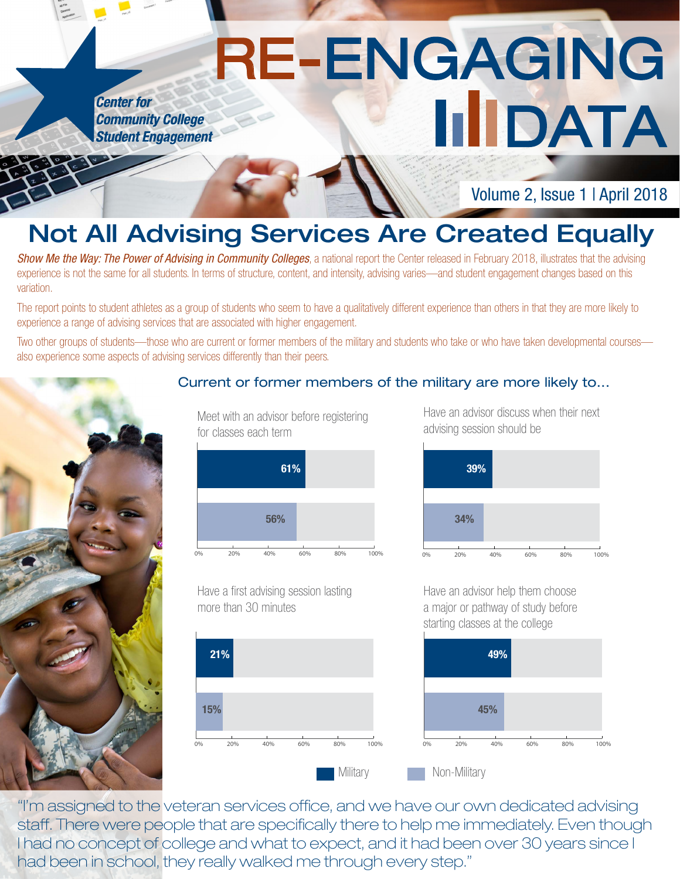# RE-ENGAGING **HIDATA Student Engagement**

Volume 2, Issue 1 | April 2018

## Not All Advising Services Are Created Equally

**Show Me the Way: The Power of Advising in Community Colleges**, a national report the Center released in February 2018, illustrates that the advising experience is not the same for all students. In terms of structure, content, and intensity, advising varies—and student engagement changes based on this variation.

The report points to student athletes as a group of students who seem to have a qualitatively different experience than others in that they are more likely to experience a range of advising services that are associated with higher engagement.

Two other groups of students—those who are current or former members of the military and students who take or who have taken developmental courses also experience some aspects of advising services differently than their peers.



**Center for** 

**Community College** 

### Current or former members of the military are more likely to...

Meet with an advisor before registering for classes each term



Have a first advising session lasting

0% 20% 40% 60% 80% 100%

more than 30 minutes

21%

15%

Have an advisor discuss when their next advising session should be



Have an advisor help them choose a major or pathway of study before starting classes at the college



"I'm assigned to the veteran services office, and we have our own dedicated advising staff. There were people that are specifically there to help me immediately. Even though I had no concept of college and what to expect, and it had been over 30 years since I had been in school, they really walked me through every step."